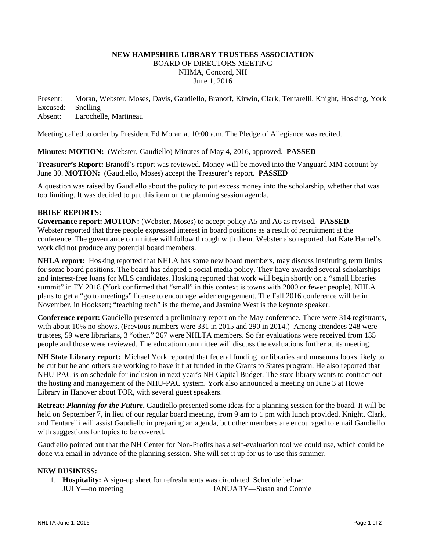## **NEW HAMPSHIRE LIBRARY TRUSTEES ASSOCIATION**  BOARD OF DIRECTORS MEETING NHMA, Concord, NH June 1, 2016

Present: Moran, Webster, Moses, Davis, Gaudiello, Branoff, Kirwin, Clark, Tentarelli, Knight, Hosking, York Excused: Snelling Absent: Larochelle, Martineau

Meeting called to order by President Ed Moran at 10:00 a.m. The Pledge of Allegiance was recited.

**Minutes: MOTION:** (Webster, Gaudiello) Minutes of May 4, 2016, approved. **PASSED**

**Treasurer's Report:** Branoff's report was reviewed. Money will be moved into the Vanguard MM account by June 30. **MOTION:** (Gaudiello, Moses) accept the Treasurer's report. **PASSED**

A question was raised by Gaudiello about the policy to put excess money into the scholarship, whether that was too limiting. It was decided to put this item on the planning session agenda.

# **BRIEF REPORTS:**

**Governance report: MOTION:** (Webster, Moses) to accept policy A5 and A6 as revised. **PASSED**. Webster reported that three people expressed interest in board positions as a result of recruitment at the conference. The governance committee will follow through with them. Webster also reported that Kate Hamel's work did not produce any potential board members.

**NHLA report:** Hosking reported that NHLA has some new board members, may discuss instituting term limits for some board positions. The board has adopted a social media policy. They have awarded several scholarships and interest-free loans for MLS candidates. Hosking reported that work will begin shortly on a "small libraries summit" in FY 2018 (York confirmed that "small" in this context is towns with 2000 or fewer people). NHLA plans to get a "go to meetings" license to encourage wider engagement. The Fall 2016 conference will be in November, in Hooksett; "teaching tech" is the theme, and Jasmine West is the keynote speaker.

**Conference report:** Gaudiello presented a preliminary report on the May conference. There were 314 registrants, with about 10% no-shows. (Previous numbers were 331 in 2015 and 290 in 2014.) Among attendees 248 were trustees, 59 were librarians, 3 "other." 267 were NHLTA members. So far evaluations were received from 135 people and those were reviewed. The education committee will discuss the evaluations further at its meeting.

**NH State Library report:** Michael York reported that federal funding for libraries and museums looks likely to be cut but he and others are working to have it flat funded in the Grants to States program. He also reported that NHU-PAC is on schedule for inclusion in next year's NH Capital Budget. The state library wants to contract out the hosting and management of the NHU-PAC system. York also announced a meeting on June 3 at Howe Library in Hanover about TOR, with several guest speakers.

**Retreat:** *Planning for the Future***.** Gaudiello presented some ideas for a planning session for the board. It will be held on September 7, in lieu of our regular board meeting, from 9 am to 1 pm with lunch provided. Knight, Clark, and Tentarelli will assist Gaudiello in preparing an agenda, but other members are encouraged to email Gaudiello with suggestions for topics to be covered.

Gaudiello pointed out that the NH Center for Non-Profits has a self-evaluation tool we could use, which could be done via email in advance of the planning session. She will set it up for us to use this summer.

### **NEW BUSINESS:**

1. **Hospitality:** A sign-up sheet for refreshments was circulated. Schedule below: JULY—no meeting JANUARY—Susan and Connie